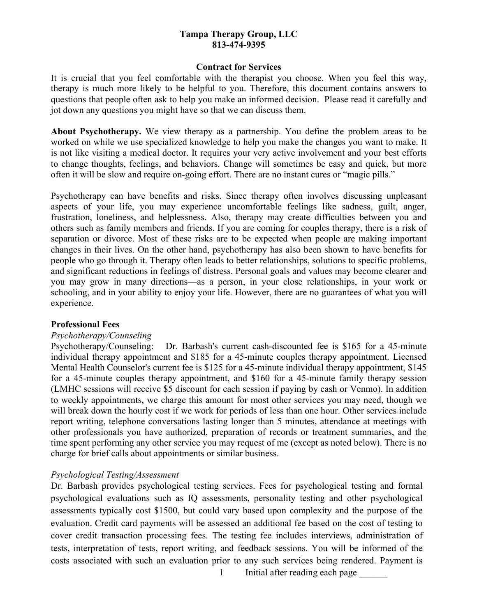#### **Contract for Services**

It is crucial that you feel comfortable with the therapist you choose. When you feel this way, therapy is much more likely to be helpful to you. Therefore, this document contains answers to questions that people often ask to help you make an informed decision. Please read it carefully and jot down any questions you might have so that we can discuss them.

**About Psychotherapy.** We view therapy as a partnership. You define the problem areas to be worked on while we use specialized knowledge to help you make the changes you want to make. It is not like visiting a medical doctor. It requires your very active involvement and your best efforts to change thoughts, feelings, and behaviors. Change will sometimes be easy and quick, but more often it will be slow and require on-going effort. There are no instant cures or "magic pills."

Psychotherapy can have benefits and risks. Since therapy often involves discussing unpleasant aspects of your life, you may experience uncomfortable feelings like sadness, guilt, anger, frustration, loneliness, and helplessness. Also, therapy may create difficulties between you and others such as family members and friends. If you are coming for couples therapy, there is a risk of separation or divorce. Most of these risks are to be expected when people are making important changes in their lives. On the other hand, psychotherapy has also been shown to have benefits for people who go through it. Therapy often leads to better relationships, solutions to specific problems, and significant reductions in feelings of distress. Personal goals and values may become clearer and you may grow in many directions—as a person, in your close relationships, in your work or schooling, and in your ability to enjoy your life. However, there are no guarantees of what you will experience.

#### **Professional Fees**

#### *Psychotherapy/Counseling*

Psychotherapy/Counseling: Dr. Barbash's current cash-discounted fee is \$165 for a 45-minute individual therapy appointment and \$185 for a 45-minute couples therapy appointment. Licensed Mental Health Counselor's current fee is \$125 for a 45-minute individual therapy appointment, \$145 for a 45-minute couples therapy appointment, and \$160 for a 45-minute family therapy session (LMHC sessions will receive \$5 discount for each session if paying by cash or Venmo). In addition to weekly appointments, we charge this amount for most other services you may need, though we will break down the hourly cost if we work for periods of less than one hour. Other services include report writing, telephone conversations lasting longer than 5 minutes, attendance at meetings with other professionals you have authorized, preparation of records or treatment summaries, and the time spent performing any other service you may request of me (except as noted below). There is no charge for brief calls about appointments or similar business.

# *Psychological Testing/Assessment*

Dr. Barbash provides psychological testing services. Fees for psychological testing and formal psychological evaluations such as IQ assessments, personality testing and other psychological assessments typically cost \$1500, but could vary based upon complexity and the purpose of the evaluation. Credit card payments will be assessed an additional fee based on the cost of testing to cover credit transaction processing fees. The testing fee includes interviews, administration of tests, interpretation of tests, report writing, and feedback sessions. You will be informed of the costs associated with such an evaluation prior to any such services being rendered. Payment is

1 Initial after reading each page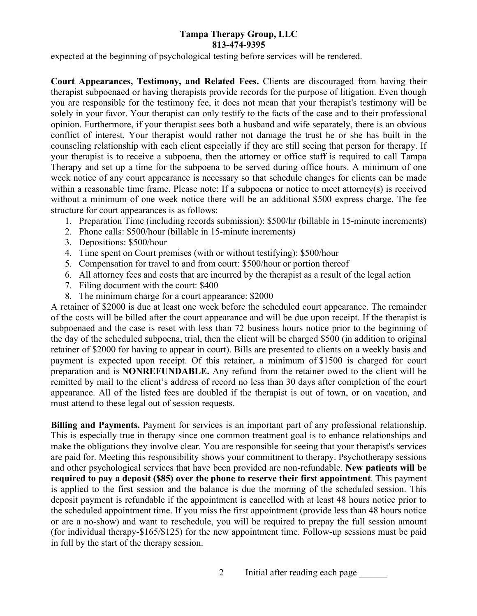expected at the beginning of psychological testing before services will be rendered.

**Court Appearances, Testimony, and Related Fees.** Clients are discouraged from having their therapist subpoenaed or having therapists provide records for the purpose of litigation. Even though you are responsible for the testimony fee, it does not mean that your therapist's testimony will be solely in your favor. Your therapist can only testify to the facts of the case and to their professional opinion. Furthermore, if your therapist sees both a husband and wife separately, there is an obvious conflict of interest. Your therapist would rather not damage the trust he or she has built in the counseling relationship with each client especially if they are still seeing that person for therapy. If your therapist is to receive a subpoena, then the attorney or office staff is required to call Tampa Therapy and set up a time for the subpoena to be served during office hours. A minimum of one week notice of any court appearance is necessary so that schedule changes for clients can be made within a reasonable time frame. Please note: If a subpoena or notice to meet attorney(s) is received without a minimum of one week notice there will be an additional \$500 express charge. The fee structure for court appearances is as follows:

- 1. Preparation Time (including records submission): \$500/hr (billable in 15-minute increments)
- 2. Phone calls: \$500/hour (billable in 15-minute increments)
- 3. Depositions: \$500/hour
- 4. Time spent on Court premises (with or without testifying): \$500/hour
- 5. Compensation for travel to and from court: \$500/hour or portion thereof
- 6. All attorney fees and costs that are incurred by the therapist as a result of the legal action
- 7. Filing document with the court: \$400
- 8. The minimum charge for a court appearance: \$2000

A retainer of \$2000 is due at least one week before the scheduled court appearance. The remainder of the costs will be billed after the court appearance and will be due upon receipt. If the therapist is subpoenaed and the case is reset with less than 72 business hours notice prior to the beginning of the day of the scheduled subpoena, trial, then the client will be charged \$500 (in addition to original retainer of \$2000 for having to appear in court). Bills are presented to clients on a weekly basis and payment is expected upon receipt. Of this retainer, a minimum of \$1500 is charged for court preparation and is **NONREFUNDABLE.** Any refund from the retainer owed to the client will be remitted by mail to the client's address of record no less than 30 days after completion of the court appearance. All of the listed fees are doubled if the therapist is out of town, or on vacation, and must attend to these legal out of session requests.

**Billing and Payments.** Payment for services is an important part of any professional relationship. This is especially true in therapy since one common treatment goal is to enhance relationships and make the obligations they involve clear. You are responsible for seeing that your therapist's services are paid for. Meeting this responsibility shows your commitment to therapy. Psychotherapy sessions and other psychological services that have been provided are non-refundable. **New patients will be required to pay a deposit (\$85) over the phone to reserve their first appointment**. This payment is applied to the first session and the balance is due the morning of the scheduled session. This deposit payment is refundable if the appointment is cancelled with at least 48 hours notice prior to the scheduled appointment time. If you miss the first appointment (provide less than 48 hours notice or are a no-show) and want to reschedule, you will be required to prepay the full session amount (for individual therapy-\$165/\$125) for the new appointment time. Follow-up sessions must be paid in full by the start of the therapy session.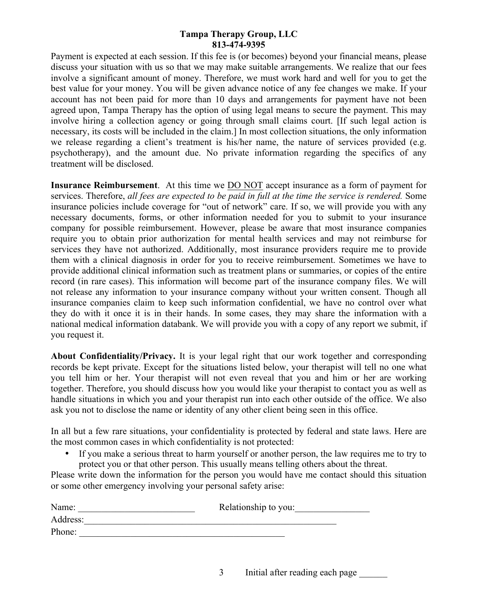Payment is expected at each session. If this fee is (or becomes) beyond your financial means, please discuss your situation with us so that we may make suitable arrangements. We realize that our fees involve a significant amount of money. Therefore, we must work hard and well for you to get the best value for your money. You will be given advance notice of any fee changes we make. If your account has not been paid for more than 10 days and arrangements for payment have not been agreed upon, Tampa Therapy has the option of using legal means to secure the payment. This may involve hiring a collection agency or going through small claims court. [If such legal action is necessary, its costs will be included in the claim.] In most collection situations, the only information we release regarding a client's treatment is his/her name, the nature of services provided (e.g. psychotherapy), and the amount due. No private information regarding the specifics of any treatment will be disclosed.

**Insurance Reimbursement**. At this time we DO NOT accept insurance as a form of payment for services. Therefore, *all fees are expected to be paid in full at the time the service is rendered.* Some insurance policies include coverage for "out of network" care. If so, we will provide you with any necessary documents, forms, or other information needed for you to submit to your insurance company for possible reimbursement. However, please be aware that most insurance companies require you to obtain prior authorization for mental health services and may not reimburse for services they have not authorized. Additionally, most insurance providers require me to provide them with a clinical diagnosis in order for you to receive reimbursement. Sometimes we have to provide additional clinical information such as treatment plans or summaries, or copies of the entire record (in rare cases). This information will become part of the insurance company files. We will not release any information to your insurance company without your written consent. Though all insurance companies claim to keep such information confidential, we have no control over what they do with it once it is in their hands. In some cases, they may share the information with a national medical information databank. We will provide you with a copy of any report we submit, if you request it.

**About Confidentiality/Privacy.** It is your legal right that our work together and corresponding records be kept private. Except for the situations listed below, your therapist will tell no one what you tell him or her. Your therapist will not even reveal that you and him or her are working together. Therefore, you should discuss how you would like your therapist to contact you as well as handle situations in which you and your therapist run into each other outside of the office. We also ask you not to disclose the name or identity of any other client being seen in this office.

In all but a few rare situations, your confidentiality is protected by federal and state laws. Here are the most common cases in which confidentiality is not protected:

• If you make a serious threat to harm yourself or another person, the law requires me to try to protect you or that other person. This usually means telling others about the threat.

Please write down the information for the person you would have me contact should this situation or some other emergency involving your personal safety arise:

| Name:    | Relationship to you: |
|----------|----------------------|
| Address: |                      |
| Phone:   |                      |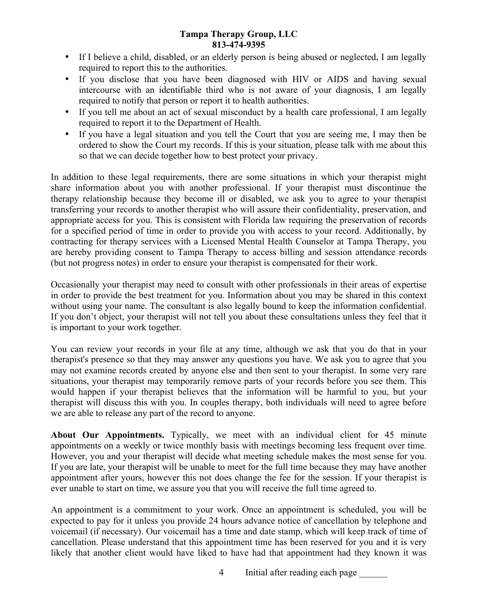- If I believe a child, disabled, or an elderly person is being abused or neglected, I am legally required to report this to the authorities.
- If you disclose that you have been diagnosed with HIV or AIDS and having sexual intercourse with an identifiable third who is not aware of your diagnosis, I am legally required to notify that person or report it to health authorities.
- If you tell me about an act of sexual misconduct by a health care professional, I am legally required to report it to the Department of Health.
- If you have a legal situation and you tell the Court that you are seeing me, I may then be ordered to show the Court my records. If this is your situation, please talk with me about this so that we can decide together how to best protect your privacy.

In addition to these legal requirements, there are some situations in which your therapist might share information about you with another professional. If your therapist must discontinue the therapy relationship because they become ill or disabled, we ask you to agree to your therapist transferring your records to another therapist who will assure their confidentiality, preservation, and appropriate access for you. This is consistent with Florida law requiring the preservation of records for a specified period of time in order to provide you with access to your record. Additionally, by contracting for therapy services with a Licensed Mental Health Counselor at Tampa Therapy, you are hereby providing consent to Tampa Therapy to access billing and session attendance records (but not progress notes) in order to ensure your therapist is compensated for their work.

Occasionally your therapist may need to consult with other professionals in their areas of expertise in order to provide the best treatment for you. Information about you may be shared in this context without using your name. The consultant is also legally bound to keep the information confidential. If you don't object, your therapist will not tell you about these consultations unless they feel that it is important to your work together.

You can review your records in your file at any time, although we ask that you do that in your therapist's presence so that they may answer any questions you have. We ask you to agree that you may not examine records created by anyone else and then sent to your therapist. In some very rare situations, your therapist may temporarily remove parts of your records before you see them. This would happen if your therapist believes that the information will be harmful to you, but your therapist will discuss this with you. In couples therapy, both individuals will need to agree before we are able to release any part of the record to anyone.

**About Our Appointments.** Typically, we meet with an individual client for 45 minute appointments on a weekly or twice monthly basis with meetings becoming less frequent over time. However, you and your therapist will decide what meeting schedule makes the most sense for you. If you are late, your therapist will be unable to meet for the full time because they may have another appointment after yours, however this not does change the fee for the session. If your therapist is ever unable to start on time, we assure you that you will receive the full time agreed to.

An appointment is a commitment to your work. Once an appointment is scheduled, you will be expected to pay for it unless you provide 24 hours advance notice of cancellation by telephone and voicemail (if necessary). Our voicemail has a time and date stamp, which will keep track of time of cancellation. Please understand that this appointment time has been reserved for you and it is very likely that another client would have liked to have had that appointment had they known it was

4 Initial after reading each page \_\_\_\_\_\_\_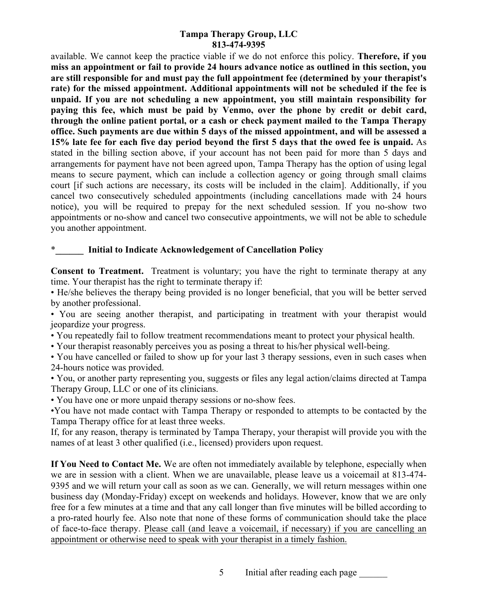available. We cannot keep the practice viable if we do not enforce this policy. **Therefore, if you miss an appointment or fail to provide 24 hours advance notice as outlined in this section, you are still responsible for and must pay the full appointment fee (determined by your therapist's rate) for the missed appointment. Additional appointments will not be scheduled if the fee is unpaid. If you are not scheduling a new appointment, you still maintain responsibility for paying this fee, which must be paid by Venmo, over the phone by credit or debit card, through the online patient portal, or a cash or check payment mailed to the Tampa Therapy office. Such payments are due within 5 days of the missed appointment, and will be assessed a 15% late fee for each five day period beyond the first 5 days that the owed fee is unpaid.** As stated in the billing section above, if your account has not been paid for more than 5 days and arrangements for payment have not been agreed upon, Tampa Therapy has the option of using legal means to secure payment, which can include a collection agency or going through small claims court [if such actions are necessary, its costs will be included in the claim]. Additionally, if you cancel two consecutively scheduled appointments (including cancellations made with 24 hours notice), you will be required to prepay for the next scheduled session. If you no-show two appointments or no-show and cancel two consecutive appointments, we will not be able to schedule you another appointment.

## \***\_\_\_\_\_\_ Initial to Indicate Acknowledgement of Cancellation Policy**

**Consent to Treatment.** Treatment is voluntary; you have the right to terminate therapy at any time. Your therapist has the right to terminate therapy if:

• He/she believes the therapy being provided is no longer beneficial, that you will be better served by another professional.

• You are seeing another therapist, and participating in treatment with your therapist would jeopardize your progress.

• You repeatedly fail to follow treatment recommendations meant to protect your physical health.

• Your therapist reasonably perceives you as posing a threat to his/her physical well-being.

• You have cancelled or failed to show up for your last 3 therapy sessions, even in such cases when 24-hours notice was provided.

• You, or another party representing you, suggests or files any legal action/claims directed at Tampa Therapy Group, LLC or one of its clinicians.

• You have one or more unpaid therapy sessions or no-show fees.

•You have not made contact with Tampa Therapy or responded to attempts to be contacted by the Tampa Therapy office for at least three weeks.

If, for any reason, therapy is terminated by Tampa Therapy, your therapist will provide you with the names of at least 3 other qualified (i.e., licensed) providers upon request.

**If You Need to Contact Me.** We are often not immediately available by telephone, especially when we are in session with a client. When we are unavailable, please leave us a voicemail at 813-474- 9395 and we will return your call as soon as we can. Generally, we will return messages within one business day (Monday-Friday) except on weekends and holidays. However, know that we are only free for a few minutes at a time and that any call longer than five minutes will be billed according to a pro-rated hourly fee. Also note that none of these forms of communication should take the place of face-to-face therapy. Please call (and leave a voicemail, if necessary) if you are cancelling an appointment or otherwise need to speak with your therapist in a timely fashion.

5 Initial after reading each page